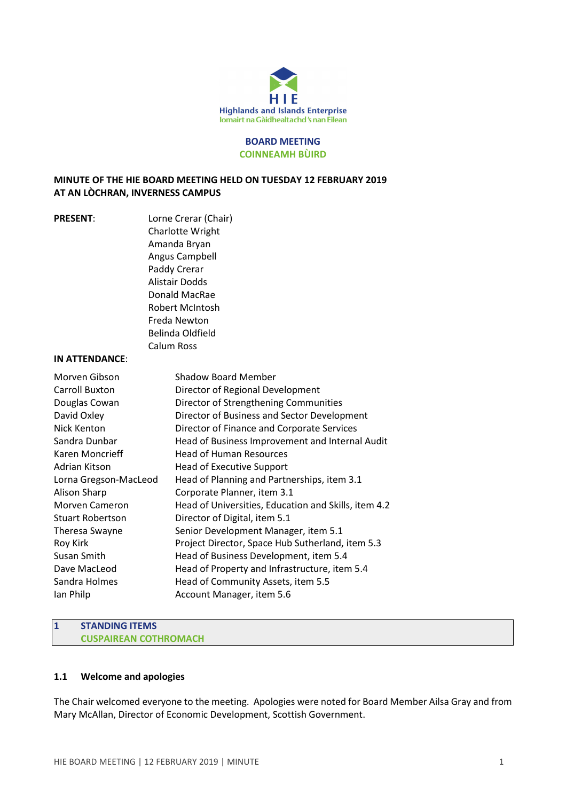

#### BOARD MEETING COINNEAMH BÙIRD

# MINUTE OF THE HIE BOARD MEETING HELD ON TUESDAY 12 FEBRUARY 2019 AT AN LÒCHRAN, INVERNESS CAMPUS

PRESENT: Lorne Crerar (Chair) Charlotte Wright Amanda Bryan Angus Campbell Paddy Crerar Alistair Dodds Donald MacRae Robert McIntosh Freda Newton Belinda Oldfield Calum Ross

# IN ATTENDANCE:

| Morven Gibson           | <b>Shadow Board Member</b>                           |
|-------------------------|------------------------------------------------------|
| <b>Carroll Buxton</b>   | Director of Regional Development                     |
| Douglas Cowan           | Director of Strengthening Communities                |
| David Oxley             | Director of Business and Sector Development          |
| Nick Kenton             | Director of Finance and Corporate Services           |
| Sandra Dunbar           | Head of Business Improvement and Internal Audit      |
| Karen Moncrieff         | <b>Head of Human Resources</b>                       |
| Adrian Kitson           | <b>Head of Executive Support</b>                     |
| Lorna Gregson-MacLeod   | Head of Planning and Partnerships, item 3.1          |
| Alison Sharp            | Corporate Planner, item 3.1                          |
| <b>Morven Cameron</b>   | Head of Universities, Education and Skills, item 4.2 |
| <b>Stuart Robertson</b> | Director of Digital, item 5.1                        |
| Theresa Swayne          | Senior Development Manager, item 5.1                 |
| Roy Kirk                | Project Director, Space Hub Sutherland, item 5.3     |
| Susan Smith             | Head of Business Development, item 5.4               |
| Dave MacLeod            | Head of Property and Infrastructure, item 5.4        |
| Sandra Holmes           | Head of Community Assets, item 5.5                   |
| lan Philp               | Account Manager, item 5.6                            |

#### 1 STANDING ITEMS CUSPAIREAN COTHROMACH

# 1.1 Welcome and apologies

The Chair welcomed everyone to the meeting. Apologies were noted for Board Member Ailsa Gray and from Mary McAllan, Director of Economic Development, Scottish Government.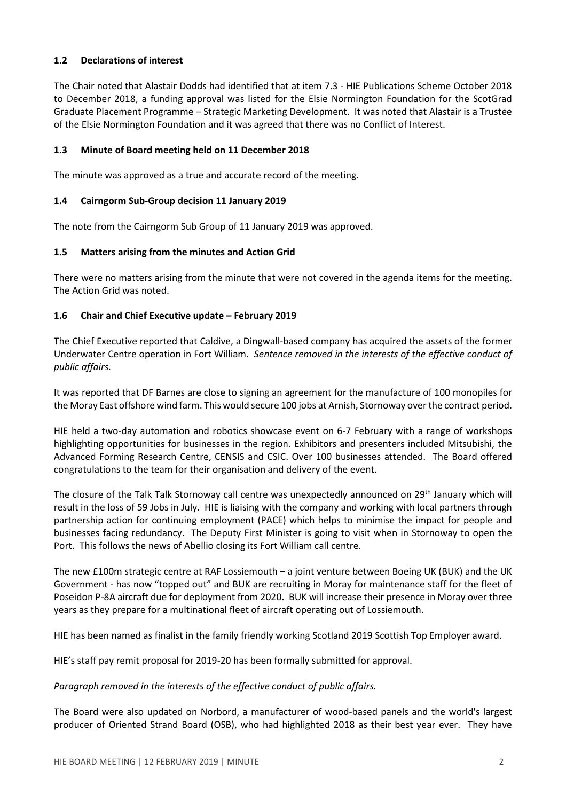# 1.2 Declarations of interest

The Chair noted that Alastair Dodds had identified that at item 7.3 - HIE Publications Scheme October 2018 to December 2018, a funding approval was listed for the Elsie Normington Foundation for the ScotGrad Graduate Placement Programme – Strategic Marketing Development. It was noted that Alastair is a Trustee of the Elsie Normington Foundation and it was agreed that there was no Conflict of Interest.

# 1.3 Minute of Board meeting held on 11 December 2018

The minute was approved as a true and accurate record of the meeting.

# 1.4 Cairngorm Sub-Group decision 11 January 2019

The note from the Cairngorm Sub Group of 11 January 2019 was approved.

# 1.5 Matters arising from the minutes and Action Grid

There were no matters arising from the minute that were not covered in the agenda items for the meeting. The Action Grid was noted.

# 1.6 Chair and Chief Executive update – February 2019

The Chief Executive reported that Caldive, a Dingwall-based company has acquired the assets of the former Underwater Centre operation in Fort William. Sentence removed in the interests of the effective conduct of public affairs.

It was reported that DF Barnes are close to signing an agreement for the manufacture of 100 monopiles for the Moray East offshore wind farm. This would secure 100 jobs at Arnish, Stornoway over the contract period.

HIE held a two-day automation and robotics showcase event on 6-7 February with a range of workshops highlighting opportunities for businesses in the region. Exhibitors and presenters included Mitsubishi, the Advanced Forming Research Centre, CENSIS and CSIC. Over 100 businesses attended. The Board offered congratulations to the team for their organisation and delivery of the event.

The closure of the Talk Talk Stornoway call centre was unexpectedly announced on 29<sup>th</sup> January which will result in the loss of 59 Jobs in July. HIE is liaising with the company and working with local partners through partnership action for continuing employment (PACE) which helps to minimise the impact for people and businesses facing redundancy. The Deputy First Minister is going to visit when in Stornoway to open the Port. This follows the news of Abellio closing its Fort William call centre.

The new £100m strategic centre at RAF Lossiemouth – a joint venture between Boeing UK (BUK) and the UK Government - has now "topped out" and BUK are recruiting in Moray for maintenance staff for the fleet of Poseidon P-8A aircraft due for deployment from 2020. BUK will increase their presence in Moray over three years as they prepare for a multinational fleet of aircraft operating out of Lossiemouth.

HIE has been named as finalist in the family friendly working Scotland 2019 Scottish Top Employer award.

HIE's staff pay remit proposal for 2019-20 has been formally submitted for approval.

#### Paragraph removed in the interests of the effective conduct of public affairs.

The Board were also updated on Norbord, a manufacturer of wood-based panels and the world's largest producer of Oriented Strand Board (OSB), who had highlighted 2018 as their best year ever. They have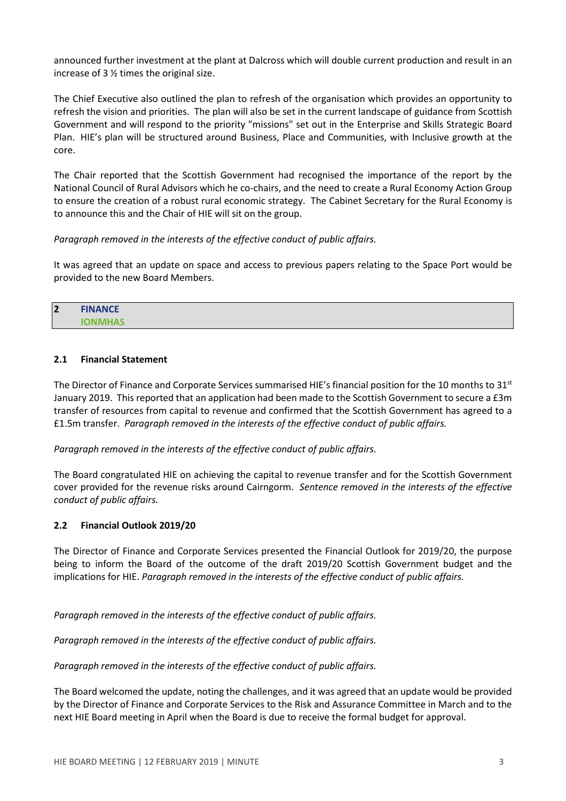announced further investment at the plant at Dalcross which will double current production and result in an increase of 3 ½ times the original size.

The Chief Executive also outlined the plan to refresh of the organisation which provides an opportunity to refresh the vision and priorities. The plan will also be set in the current landscape of guidance from Scottish Government and will respond to the priority "missions" set out in the Enterprise and Skills Strategic Board Plan. HIE's plan will be structured around Business, Place and Communities, with Inclusive growth at the core.

The Chair reported that the Scottish Government had recognised the importance of the report by the National Council of Rural Advisors which he co-chairs, and the need to create a Rural Economy Action Group to ensure the creation of a robust rural economic strategy. The Cabinet Secretary for the Rural Economy is to announce this and the Chair of HIE will sit on the group.

# Paragraph removed in the interests of the effective conduct of public affairs.

It was agreed that an update on space and access to previous papers relating to the Space Port would be provided to the new Board Members.

| $\overline{\mathbf{2}}$ | <b>FINANCE</b> |
|-------------------------|----------------|
|                         | <b>IONMHAS</b> |

# 2.1 Financial Statement

The Director of Finance and Corporate Services summarised HIE's financial position for the 10 months to 31<sup>st</sup> January 2019. This reported that an application had been made to the Scottish Government to secure a £3m transfer of resources from capital to revenue and confirmed that the Scottish Government has agreed to a £1.5m transfer. Paragraph removed in the interests of the effective conduct of public affairs.

Paragraph removed in the interests of the effective conduct of public affairs.

The Board congratulated HIE on achieving the capital to revenue transfer and for the Scottish Government cover provided for the revenue risks around Cairngorm. Sentence removed in the interests of the effective conduct of public affairs.

# 2.2 Financial Outlook 2019/20

The Director of Finance and Corporate Services presented the Financial Outlook for 2019/20, the purpose being to inform the Board of the outcome of the draft 2019/20 Scottish Government budget and the implications for HIE. Paragraph removed in the interests of the effective conduct of public affairs.

Paragraph removed in the interests of the effective conduct of public affairs.

Paragraph removed in the interests of the effective conduct of public affairs.

Paragraph removed in the interests of the effective conduct of public affairs.

The Board welcomed the update, noting the challenges, and it was agreed that an update would be provided by the Director of Finance and Corporate Services to the Risk and Assurance Committee in March and to the next HIE Board meeting in April when the Board is due to receive the formal budget for approval.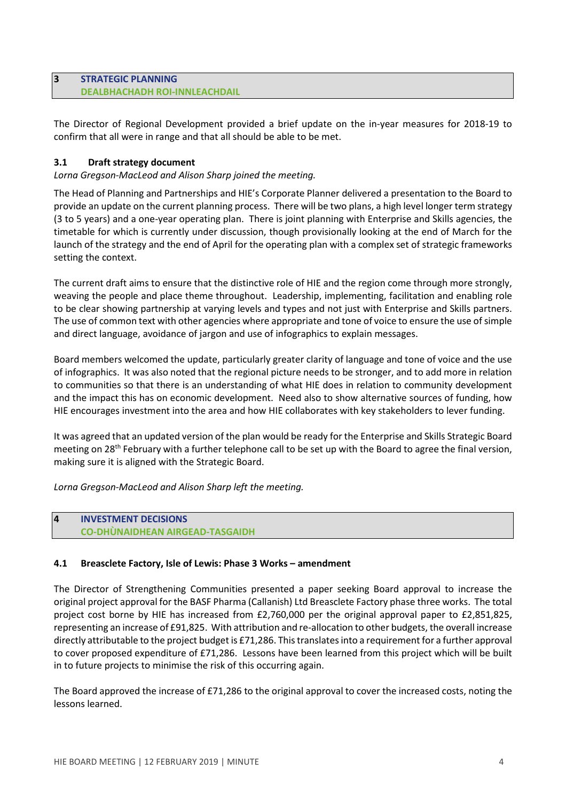# 3 STRATEGIC PLANNING DEALBHACHADH ROI-INNLEACHDAIL

The Director of Regional Development provided a brief update on the in-year measures for 2018-19 to confirm that all were in range and that all should be able to be met.

# 3.1 Draft strategy document

Lorna Gregson-MacLeod and Alison Sharp joined the meeting.

The Head of Planning and Partnerships and HIE's Corporate Planner delivered a presentation to the Board to provide an update on the current planning process. There will be two plans, a high level longer term strategy (3 to 5 years) and a one-year operating plan. There is joint planning with Enterprise and Skills agencies, the timetable for which is currently under discussion, though provisionally looking at the end of March for the launch of the strategy and the end of April for the operating plan with a complex set of strategic frameworks setting the context.

The current draft aims to ensure that the distinctive role of HIE and the region come through more strongly, weaving the people and place theme throughout. Leadership, implementing, facilitation and enabling role to be clear showing partnership at varying levels and types and not just with Enterprise and Skills partners. The use of common text with other agencies where appropriate and tone of voice to ensure the use of simple and direct language, avoidance of jargon and use of infographics to explain messages.

Board members welcomed the update, particularly greater clarity of language and tone of voice and the use of infographics. It was also noted that the regional picture needs to be stronger, and to add more in relation to communities so that there is an understanding of what HIE does in relation to community development and the impact this has on economic development. Need also to show alternative sources of funding, how HIE encourages investment into the area and how HIE collaborates with key stakeholders to lever funding.

It was agreed that an updated version of the plan would be ready for the Enterprise and Skills Strategic Board meeting on 28<sup>th</sup> February with a further telephone call to be set up with the Board to agree the final version, making sure it is aligned with the Strategic Board.

Lorna Gregson-MacLeod and Alison Sharp left the meeting.

#### 4 INVESTMENT DECISIONS CO-DHÙNAIDHEAN AIRGEAD-TASGAIDH

# 4.1 Breasclete Factory, Isle of Lewis: Phase 3 Works – amendment

The Director of Strengthening Communities presented a paper seeking Board approval to increase the original project approval for the BASF Pharma (Callanish) Ltd Breasclete Factory phase three works. The total project cost borne by HIE has increased from £2,760,000 per the original approval paper to £2,851,825, representing an increase of £91,825. With attribution and re-allocation to other budgets, the overall increase directly attributable to the project budget is £71,286. This translates into a requirement for a further approval to cover proposed expenditure of £71,286. Lessons have been learned from this project which will be built in to future projects to minimise the risk of this occurring again.

The Board approved the increase of £71,286 to the original approval to cover the increased costs, noting the lessons learned.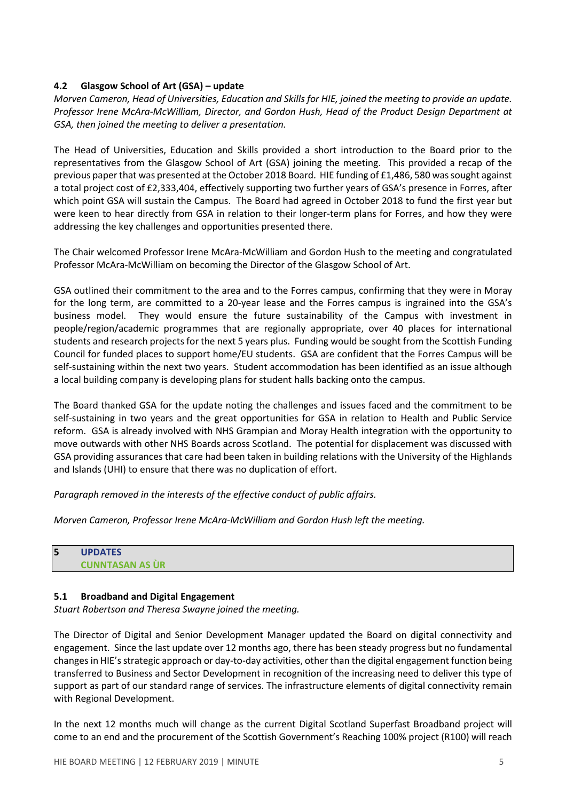# 4.2 Glasgow School of Art (GSA) – update

Morven Cameron, Head of Universities, Education and Skills for HIE, joined the meeting to provide an update. Professor Irene McAra-McWilliam, Director, and Gordon Hush, Head of the Product Design Department at GSA, then joined the meeting to deliver a presentation.

The Head of Universities, Education and Skills provided a short introduction to the Board prior to the representatives from the Glasgow School of Art (GSA) joining the meeting. This provided a recap of the previous paper that was presented at the October 2018 Board. HIE funding of £1,486, 580 was sought against a total project cost of £2,333,404, effectively supporting two further years of GSA's presence in Forres, after which point GSA will sustain the Campus. The Board had agreed in October 2018 to fund the first year but were keen to hear directly from GSA in relation to their longer-term plans for Forres, and how they were addressing the key challenges and opportunities presented there.

The Chair welcomed Professor Irene McAra-McWilliam and Gordon Hush to the meeting and congratulated Professor McAra-McWilliam on becoming the Director of the Glasgow School of Art.

GSA outlined their commitment to the area and to the Forres campus, confirming that they were in Moray for the long term, are committed to a 20-year lease and the Forres campus is ingrained into the GSA's business model. They would ensure the future sustainability of the Campus with investment in people/region/academic programmes that are regionally appropriate, over 40 places for international students and research projects for the next 5 years plus. Funding would be sought from the Scottish Funding Council for funded places to support home/EU students. GSA are confident that the Forres Campus will be self-sustaining within the next two years. Student accommodation has been identified as an issue although a local building company is developing plans for student halls backing onto the campus.

The Board thanked GSA for the update noting the challenges and issues faced and the commitment to be self-sustaining in two years and the great opportunities for GSA in relation to Health and Public Service reform. GSA is already involved with NHS Grampian and Moray Health integration with the opportunity to move outwards with other NHS Boards across Scotland. The potential for displacement was discussed with GSA providing assurances that care had been taken in building relations with the University of the Highlands and Islands (UHI) to ensure that there was no duplication of effort.

Paragraph removed in the interests of the effective conduct of public affairs.

Morven Cameron, Professor Irene McAra-McWilliam and Gordon Hush left the meeting.

| 5 | <b>UPDATES</b>         |
|---|------------------------|
|   | <b>CUNNTASAN AS UR</b> |

#### 5.1 Broadband and Digital Engagement

Stuart Robertson and Theresa Swayne joined the meeting.

The Director of Digital and Senior Development Manager updated the Board on digital connectivity and engagement. Since the last update over 12 months ago, there has been steady progress but no fundamental changes in HIE's strategic approach or day-to-day activities, other than the digital engagement function being transferred to Business and Sector Development in recognition of the increasing need to deliver this type of support as part of our standard range of services. The infrastructure elements of digital connectivity remain with Regional Development.

In the next 12 months much will change as the current Digital Scotland Superfast Broadband project will come to an end and the procurement of the Scottish Government's Reaching 100% project (R100) will reach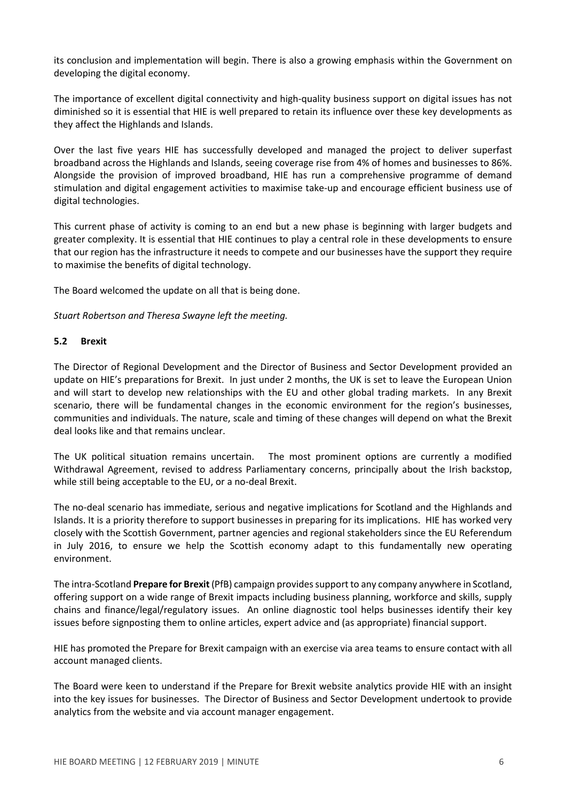its conclusion and implementation will begin. There is also a growing emphasis within the Government on developing the digital economy.

The importance of excellent digital connectivity and high-quality business support on digital issues has not diminished so it is essential that HIE is well prepared to retain its influence over these key developments as they affect the Highlands and Islands.

Over the last five years HIE has successfully developed and managed the project to deliver superfast broadband across the Highlands and Islands, seeing coverage rise from 4% of homes and businesses to 86%. Alongside the provision of improved broadband, HIE has run a comprehensive programme of demand stimulation and digital engagement activities to maximise take-up and encourage efficient business use of digital technologies.

This current phase of activity is coming to an end but a new phase is beginning with larger budgets and greater complexity. It is essential that HIE continues to play a central role in these developments to ensure that our region has the infrastructure it needs to compete and our businesses have the support they require to maximise the benefits of digital technology.

The Board welcomed the update on all that is being done.

Stuart Robertson and Theresa Swayne left the meeting.

#### 5.2 Brexit

The Director of Regional Development and the Director of Business and Sector Development provided an update on HIE's preparations for Brexit. In just under 2 months, the UK is set to leave the European Union and will start to develop new relationships with the EU and other global trading markets. In any Brexit scenario, there will be fundamental changes in the economic environment for the region's businesses, communities and individuals. The nature, scale and timing of these changes will depend on what the Brexit deal looks like and that remains unclear.

The UK political situation remains uncertain. The most prominent options are currently a modified Withdrawal Agreement, revised to address Parliamentary concerns, principally about the Irish backstop, while still being acceptable to the EU, or a no-deal Brexit.

The no-deal scenario has immediate, serious and negative implications for Scotland and the Highlands and Islands. It is a priority therefore to support businesses in preparing for its implications. HIE has worked very closely with the Scottish Government, partner agencies and regional stakeholders since the EU Referendum in July 2016, to ensure we help the Scottish economy adapt to this fundamentally new operating environment.

The intra-Scotland Prepare for Brexit (PfB) campaign provides support to any company anywhere in Scotland, offering support on a wide range of Brexit impacts including business planning, workforce and skills, supply chains and finance/legal/regulatory issues. An online diagnostic tool helps businesses identify their key issues before signposting them to online articles, expert advice and (as appropriate) financial support.

HIE has promoted the Prepare for Brexit campaign with an exercise via area teams to ensure contact with all account managed clients.

The Board were keen to understand if the Prepare for Brexit website analytics provide HIE with an insight into the key issues for businesses. The Director of Business and Sector Development undertook to provide analytics from the website and via account manager engagement.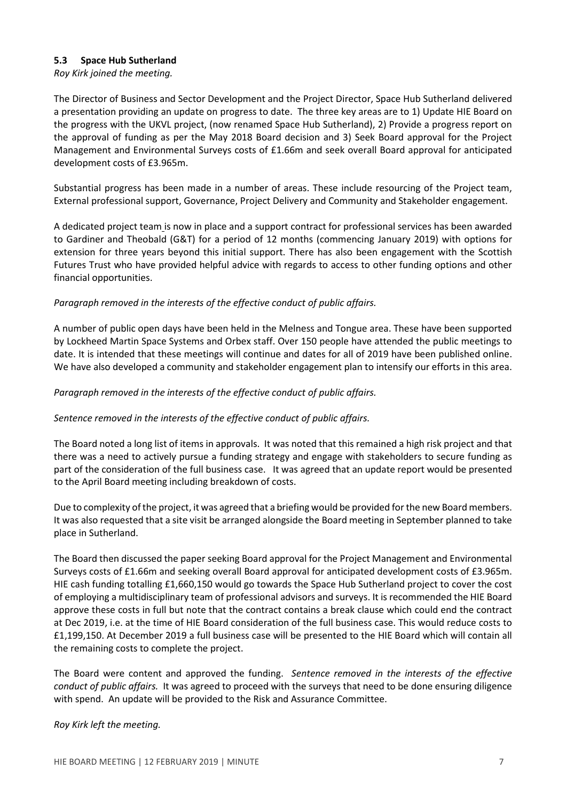# 5.3 Space Hub Sutherland

Roy Kirk joined the meeting.

The Director of Business and Sector Development and the Project Director, Space Hub Sutherland delivered a presentation providing an update on progress to date. The three key areas are to 1) Update HIE Board on the progress with the UKVL project, (now renamed Space Hub Sutherland), 2) Provide a progress report on the approval of funding as per the May 2018 Board decision and 3) Seek Board approval for the Project Management and Environmental Surveys costs of £1.66m and seek overall Board approval for anticipated development costs of £3.965m.

Substantial progress has been made in a number of areas. These include resourcing of the Project team, External professional support, Governance, Project Delivery and Community and Stakeholder engagement.

A dedicated project team is now in place and a support contract for professional services has been awarded to Gardiner and Theobald (G&T) for a period of 12 months (commencing January 2019) with options for extension for three years beyond this initial support. There has also been engagement with the Scottish Futures Trust who have provided helpful advice with regards to access to other funding options and other financial opportunities.

# Paragraph removed in the interests of the effective conduct of public affairs.

A number of public open days have been held in the Melness and Tongue area. These have been supported by Lockheed Martin Space Systems and Orbex staff. Over 150 people have attended the public meetings to date. It is intended that these meetings will continue and dates for all of 2019 have been published online. We have also developed a community and stakeholder engagement plan to intensify our efforts in this area.

# Paragraph removed in the interests of the effective conduct of public affairs.

#### Sentence removed in the interests of the effective conduct of public affairs.

The Board noted a long list of items in approvals. It was noted that this remained a high risk project and that there was a need to actively pursue a funding strategy and engage with stakeholders to secure funding as part of the consideration of the full business case. It was agreed that an update report would be presented to the April Board meeting including breakdown of costs.

Due to complexity of the project, it was agreed that a briefing would be provided for the new Board members. It was also requested that a site visit be arranged alongside the Board meeting in September planned to take place in Sutherland.

The Board then discussed the paper seeking Board approval for the Project Management and Environmental Surveys costs of £1.66m and seeking overall Board approval for anticipated development costs of £3.965m. HIE cash funding totalling £1,660,150 would go towards the Space Hub Sutherland project to cover the cost of employing a multidisciplinary team of professional advisors and surveys. It is recommended the HIE Board approve these costs in full but note that the contract contains a break clause which could end the contract at Dec 2019, i.e. at the time of HIE Board consideration of the full business case. This would reduce costs to £1,199,150. At December 2019 a full business case will be presented to the HIE Board which will contain all the remaining costs to complete the project.

The Board were content and approved the funding. Sentence removed in the interests of the effective conduct of public affairs. It was agreed to proceed with the surveys that need to be done ensuring diligence with spend. An update will be provided to the Risk and Assurance Committee.

#### Roy Kirk left the meeting.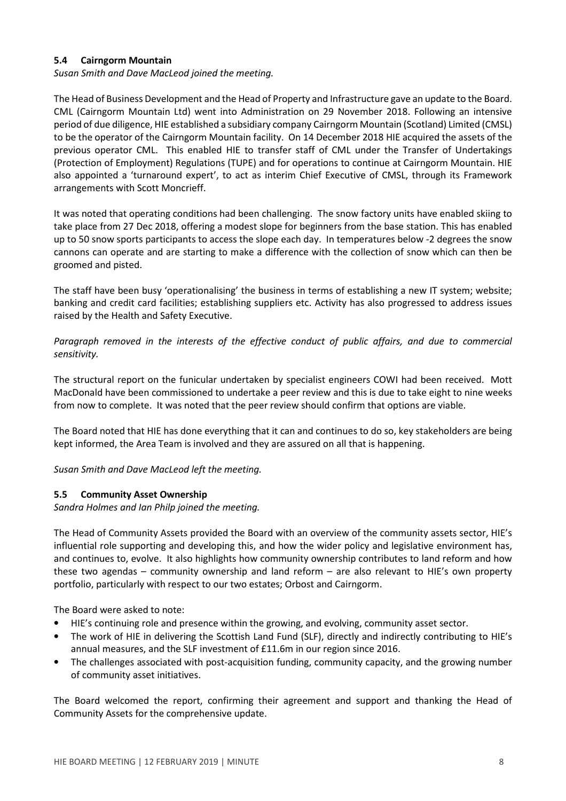# 5.4 Cairngorm Mountain

Susan Smith and Dave MacLeod joined the meeting.

The Head of Business Development and the Head of Property and Infrastructure gave an update to the Board. CML (Cairngorm Mountain Ltd) went into Administration on 29 November 2018. Following an intensive period of due diligence, HIE established a subsidiary company Cairngorm Mountain (Scotland) Limited (CMSL) to be the operator of the Cairngorm Mountain facility. On 14 December 2018 HIE acquired the assets of the previous operator CML. This enabled HIE to transfer staff of CML under the Transfer of Undertakings (Protection of Employment) Regulations (TUPE) and for operations to continue at Cairngorm Mountain. HIE also appointed a 'turnaround expert', to act as interim Chief Executive of CMSL, through its Framework arrangements with Scott Moncrieff.

It was noted that operating conditions had been challenging. The snow factory units have enabled skiing to take place from 27 Dec 2018, offering a modest slope for beginners from the base station. This has enabled up to 50 snow sports participants to access the slope each day. In temperatures below -2 degrees the snow cannons can operate and are starting to make a difference with the collection of snow which can then be groomed and pisted.

The staff have been busy 'operationalising' the business in terms of establishing a new IT system; website; banking and credit card facilities; establishing suppliers etc. Activity has also progressed to address issues raised by the Health and Safety Executive.

Paragraph removed in the interests of the effective conduct of public affairs, and due to commercial sensitivity.

The structural report on the funicular undertaken by specialist engineers COWI had been received. Mott MacDonald have been commissioned to undertake a peer review and this is due to take eight to nine weeks from now to complete. It was noted that the peer review should confirm that options are viable.

The Board noted that HIE has done everything that it can and continues to do so, key stakeholders are being kept informed, the Area Team is involved and they are assured on all that is happening.

Susan Smith and Dave MacLeod left the meeting.

#### 5.5 Community Asset Ownership

Sandra Holmes and Ian Philp joined the meeting.

The Head of Community Assets provided the Board with an overview of the community assets sector, HIE's influential role supporting and developing this, and how the wider policy and legislative environment has, and continues to, evolve. It also highlights how community ownership contributes to land reform and how these two agendas – community ownership and land reform – are also relevant to HIE's own property portfolio, particularly with respect to our two estates; Orbost and Cairngorm.

The Board were asked to note:

- HIE's continuing role and presence within the growing, and evolving, community asset sector.
- The work of HIE in delivering the Scottish Land Fund (SLF), directly and indirectly contributing to HIE's annual measures, and the SLF investment of £11.6m in our region since 2016.
- The challenges associated with post-acquisition funding, community capacity, and the growing number of community asset initiatives.

The Board welcomed the report, confirming their agreement and support and thanking the Head of Community Assets for the comprehensive update.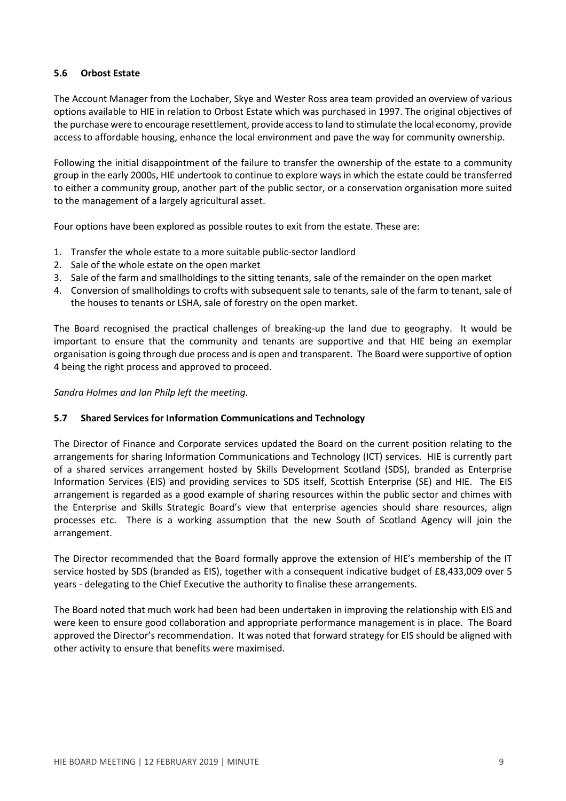# 5.6 Orbost Estate

The Account Manager from the Lochaber, Skye and Wester Ross area team provided an overview of various options available to HIE in relation to Orbost Estate which was purchased in 1997. The original objectives of the purchase were to encourage resettlement, provide access to land to stimulate the local economy, provide access to affordable housing, enhance the local environment and pave the way for community ownership.

Following the initial disappointment of the failure to transfer the ownership of the estate to a community group in the early 2000s, HIE undertook to continue to explore ways in which the estate could be transferred to either a community group, another part of the public sector, or a conservation organisation more suited to the management of a largely agricultural asset.

Four options have been explored as possible routes to exit from the estate. These are:

- 1. Transfer the whole estate to a more suitable public-sector landlord
- 2. Sale of the whole estate on the open market
- 3. Sale of the farm and smallholdings to the sitting tenants, sale of the remainder on the open market
- 4. Conversion of smallholdings to crofts with subsequent sale to tenants, sale of the farm to tenant, sale of the houses to tenants or LSHA, sale of forestry on the open market.

The Board recognised the practical challenges of breaking-up the land due to geography. It would be important to ensure that the community and tenants are supportive and that HIE being an exemplar organisation is going through due process and is open and transparent. The Board were supportive of option 4 being the right process and approved to proceed.

Sandra Holmes and Ian Philp left the meeting.

#### 5.7 Shared Services for Information Communications and Technology

The Director of Finance and Corporate services updated the Board on the current position relating to the arrangements for sharing Information Communications and Technology (ICT) services. HIE is currently part of a shared services arrangement hosted by Skills Development Scotland (SDS), branded as Enterprise Information Services (EIS) and providing services to SDS itself, Scottish Enterprise (SE) and HIE. The EIS arrangement is regarded as a good example of sharing resources within the public sector and chimes with the Enterprise and Skills Strategic Board's view that enterprise agencies should share resources, align processes etc. There is a working assumption that the new South of Scotland Agency will join the arrangement.

The Director recommended that the Board formally approve the extension of HIE's membership of the IT service hosted by SDS (branded as EIS), together with a consequent indicative budget of £8,433,009 over 5 years - delegating to the Chief Executive the authority to finalise these arrangements.

The Board noted that much work had been had been undertaken in improving the relationship with EIS and were keen to ensure good collaboration and appropriate performance management is in place. The Board approved the Director's recommendation. It was noted that forward strategy for EIS should be aligned with other activity to ensure that benefits were maximised.